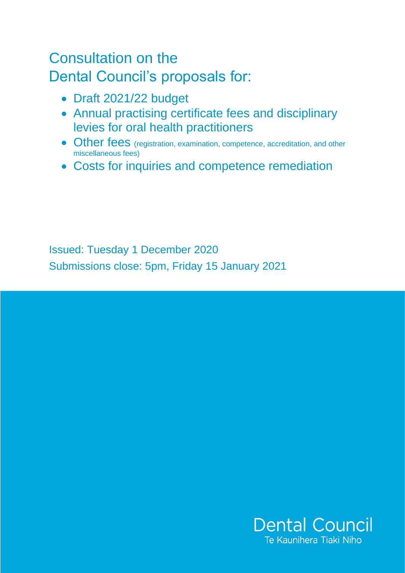# Consultation on the Dental Council's proposals for:

- Draft 2021/22 budget
- Annual practising certificate fees and disciplinary levies for oral health practitioners
- Other fees (registration, examination, competence, accreditation, and other miscellaneous fees)
- Costs for inquiries and competence remediation

Issued: Tuesday 1 December 2020 Submissions close: 5pm, Friday 15 January 2021

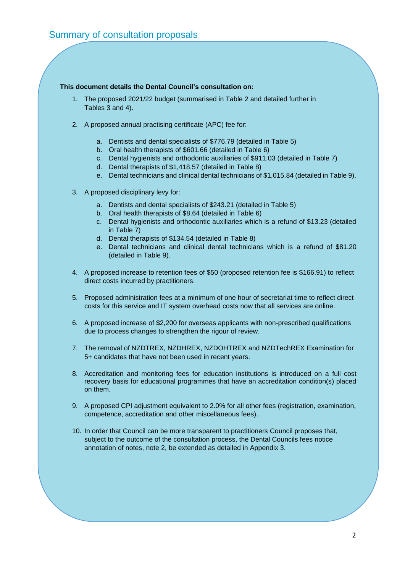#### **This document details the Dental Council's consultation on:**

- 1. The proposed 2021/22 budget (summarised in Table 2 and detailed further in Tables 3 and 4).
- 2. A proposed annual practising certificate (APC) fee for:
	- a. Dentists and dental specialists of \$776.79 (detailed in Table 5)
	- b. Oral health therapists of \$601.66 (detailed in Table 6)
	- c. Dental hygienists and orthodontic auxiliaries of \$911.03 (detailed in Table 7)
	- d. Dental therapists of \$1,418.57 (detailed in Table 8)
	- e. Dental technicians and clinical dental technicians of \$1,015.84 (detailed in Table 9).
- 3. A proposed disciplinary levy for:
	- a. Dentists and dental specialists of \$243.21 (detailed in Table 5)
	- b. Oral health therapists of \$8.64 (detailed in Table 6)
	- c. Dental hygienists and orthodontic auxiliaries which is a refund of \$13.23 (detailed in Table 7)
	- d. Dental therapists of \$134.54 (detailed in Table 8)
	- e. Dental technicians and clinical dental technicians which is a refund of \$81.20 (detailed in Table 9).
- 4. A proposed increase to retention fees of \$50 (proposed retention fee is \$166.91) to reflect direct costs incurred by practitioners.
- 5. Proposed administration fees at a minimum of one hour of secretariat time to reflect direct costs for this service and IT system overhead costs now that all services are online.
- 6. A proposed increase of \$2,200 for overseas applicants with non-prescribed qualifications due to process changes to strengthen the rigour of review.
- 7. The removal of NZDTREX, NZDHREX, NZDOHTREX and NZDTechREX Examination for 5+ candidates that have not been used in recent years.
- 8. Accreditation and monitoring fees for education institutions is introduced on a full cost recovery basis for educational programmes that have an accreditation condition(s) placed on them.
- 9. A proposed CPI adjustment equivalent to 2.0% for all other fees (registration, examination, competence, accreditation and other miscellaneous fees).
- 10. In order that Council can be more transparent to practitioners Council proposes that, subject to the outcome of the consultation process, the Dental Councils fees notice annotation of notes, note 2, be extended as detailed in Appendix 3.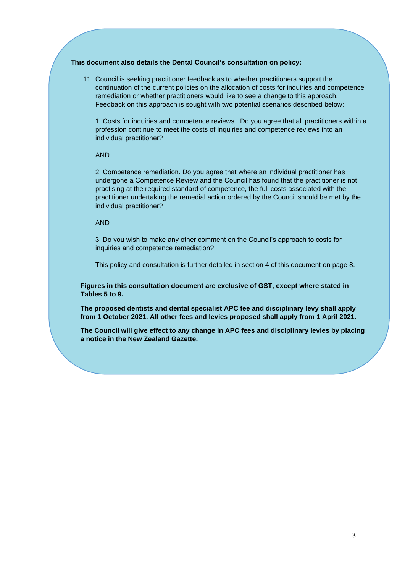#### **This document also details the Dental Council's consultation on policy:**

11. Council is seeking practitioner feedback as to whether practitioners support the continuation of the current policies on the allocation of costs for inquiries and competence remediation or whether practitioners would like to see a change to this approach. Feedback on this approach is sought with two potential scenarios described below:

1. Costs for inquiries and competence reviews. Do you agree that all practitioners within a profession continue to meet the costs of inquiries and competence reviews into an individual practitioner?

#### AND

2. Competence remediation. Do you agree that where an individual practitioner has undergone a Competence Review and the Council has found that the practitioner is not practising at the required standard of competence, the full costs associated with the practitioner undertaking the remedial action ordered by the Council should be met by the individual practitioner?

#### AND

3. Do you wish to make any other comment on the Council's approach to costs for inquiries and competence remediation?

This policy and consultation is further detailed in section 4 of this document on page 8.

**Figures in this consultation document are exclusive of GST, except where stated in Tables 5 to 9.**

**The proposed dentists and dental specialist APC fee and disciplinary levy shall apply from 1 October 2021. All other fees and levies proposed shall apply from 1 April 2021.**

**The Council will give effect to any change in APC fees and disciplinary levies by placing a notice in the New Zealand Gazette.**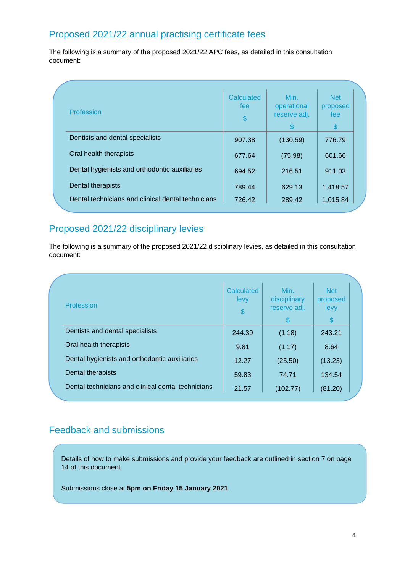# Proposed 2021/22 annual practising certificate fees

The following is a summary of the proposed 2021/22 APC fees, as detailed in this consultation document:

| Profession                                         | Calculated<br>fee<br>\$ | Min.<br>operational<br>reserve adj. | <b>Net</b><br>proposed<br>fee<br>$\mathbb{S}$ |
|----------------------------------------------------|-------------------------|-------------------------------------|-----------------------------------------------|
| Dentists and dental specialists                    | 907.38                  | (130.59)                            | 776.79                                        |
| Oral health therapists                             | 677.64                  | (75.98)                             | 601.66                                        |
| Dental hygienists and orthodontic auxiliaries      | 694.52                  | 216.51                              | 911.03                                        |
| Dental therapists                                  | 789.44                  | 629.13                              | 1,418.57                                      |
| Dental technicians and clinical dental technicians | 726.42                  | 289.42                              | 1,015.84                                      |

# Proposed 2021/22 disciplinary levies

The following is a summary of the proposed 2021/22 disciplinary levies, as detailed in this consultation document: Dental technicians and clinical dental technicians 842.45 58.55 901.00

| Profession                                         | <b>Calculated</b><br>levy<br>\$ | Min.<br>disciplinary<br>reserve adj.<br>$\mathcal{S}$ | <b>Net</b><br>proposed<br>levy<br>\$ |  |
|----------------------------------------------------|---------------------------------|-------------------------------------------------------|--------------------------------------|--|
| Dentists and dental specialists                    | 244.39                          | (1.18)                                                | 243.21                               |  |
| Oral health therapists                             | 9.81                            | (1.17)                                                | 8.64                                 |  |
| Dental hygienists and orthodontic auxiliaries      | 12.27                           | (25.50)                                               | (13.23)                              |  |
| Dental therapists                                  | 59.83                           | 74.71                                                 | 134.54                               |  |
| Dental technicians and clinical dental technicians | 21.57                           | (102.77)                                              | (81.20)                              |  |

# Feedback and submissions

Details of how to make submissions and provide your feedback are outlined in section 7 on page 14 of this document.

Submissions close at **5pm on Friday 15 January 2021**.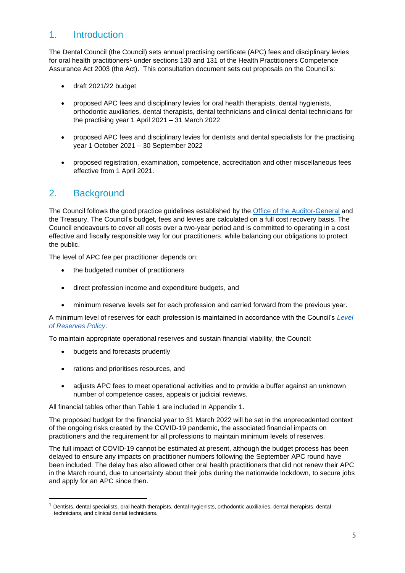# 1. Introduction

The Dental Council (the Council) sets annual practising certificate (APC) fees and disciplinary levies for oral health practitioners<sup>1</sup> under sections 130 and 131 of the Health Practitioners Competence Assurance Act 2003 (the Act). This consultation document sets out proposals on the Council's:

- draft 2021/22 budget
- proposed APC fees and disciplinary levies for oral health therapists, dental hygienists, orthodontic auxiliaries, dental therapists, dental technicians and clinical dental technicians for the practising year 1 April 2021 – 31 March 2022
- proposed APC fees and disciplinary levies for dentists and dental specialists for the practising year 1 October 2021 – 30 September 2022
- proposed registration, examination, competence, accreditation and other miscellaneous fees effective from 1 April 2021.

# 2. Background

The Council follows the good practice guidelines established by the [Office of the Auditor-General](https://oag.parliament.nz/2008/charging-fees/docs/charging-fees.pdf) and the Treasury. The Council's budget, fees and levies are calculated on a full cost recovery basis. The Council endeavours to cover all costs over a two-year period and is committed to operating in a cost effective and fiscally responsible way for our practitioners, while balancing our obligations to protect the public.

The level of APC fee per practitioner depends on:

- the budgeted number of practitioners
- direct profession income and expenditure budgets, and
- minimum reserve levels set for each profession and carried forward from the previous year.

A minimum level of reserves for each profession is maintained in accordance with the Council's *[Level](https://www.dcnz.org.nz/assets/Uploads/Policies/Level-of-Reserves-Policy.pdf) [of Reserves Policy](https://www.dcnz.org.nz/assets/Uploads/Policies/Level-of-Reserves-Policy.pdf)*.

To maintain appropriate operational reserves and sustain financial viability, the Council:

- budgets and forecasts prudently
- rations and prioritises resources, and
- adjusts APC fees to meet operational activities and to provide a buffer against an unknown number of competence cases, appeals or judicial reviews.

All financial tables other than Table 1 are included in Appendix 1.

The proposed budget for the financial year to 31 March 2022 will be set in the unprecedented context of the ongoing risks created by the COVID-19 pandemic, the associated financial impacts on practitioners and the requirement for all professions to maintain minimum levels of reserves.

The full impact of COVID-19 cannot be estimated at present, although the budget process has been delayed to ensure any impacts on practitioner numbers following the September APC round have been included. The delay has also allowed other oral health practitioners that did not renew their APC in the March round, due to uncertainty about their jobs during the nationwide lockdown, to secure jobs and apply for an APC since then.

 $1$  Dentists, dental specialists, oral health therapists, dental hygienists, orthodontic auxiliaries, dental therapists, dental technicians, and clinical dental technicians.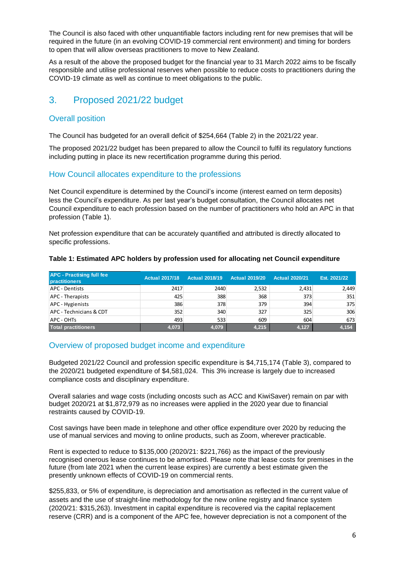The Council is also faced with other unquantifiable factors including rent for new premises that will be required in the future (in an evolving COVID-19 commercial rent environment) and timing for borders to open that will allow overseas practitioners to move to New Zealand.

As a result of the above the proposed budget for the financial year to 31 March 2022 aims to be fiscally responsible and utilise professional reserves when possible to reduce costs to practitioners during the COVID-19 climate as well as continue to meet obligations to the public.

# 3. Proposed 2021/22 budget

# Overall position

The Council has budgeted for an overall deficit of \$254,664 (Table 2) in the 2021/22 year.

The proposed 2021/22 budget has been prepared to allow the Council to fulfil its regulatory functions including putting in place its new recertification programme during this period.

# How Council allocates expenditure to the professions

Net Council expenditure is determined by the Council's income (interest earned on term deposits) less the Council's expenditure. As per last year's budget consultation, the Council allocates net Council expenditure to each profession based on the number of practitioners who hold an APC in that profession (Table 1).

Net profession expenditure that can be accurately quantified and attributed is directly allocated to specific professions.

| <b>APC - Practising full fee</b><br><b>practitioners</b> | <b>Actual 2017/18</b> | <b>Actual 2018/19</b> | <b>Actual 2019/20</b> | <b>Actual 2020/21</b> | Est. 2021/22 |
|----------------------------------------------------------|-----------------------|-----------------------|-----------------------|-----------------------|--------------|
| APC - Dentists                                           | 2417                  | 2440                  | 2,532                 | 2.431                 | 2,449        |
| <b>APC</b> - Therapists                                  | 425                   | 388                   | 368                   | 373                   | 351          |
| APC - Hygienists                                         | 386                   | 378                   | 379                   | 394                   | 375          |
| APC - Technicians & CDT                                  | 352                   | 340                   | 327                   | 325                   | 306          |
| APC - OHTs                                               | 493                   | 533                   | 609                   | 604                   | 673          |
| <b>Total practitioners</b>                               | 4,073                 | 4,079                 | 4,215                 | 4.127                 | 4,154        |

### **Table 1: Estimated APC holders by profession used for allocating net Council expenditure**

# Overview of proposed budget income and expenditure

Budgeted 2021/22 Council and profession specific expenditure is \$4,715,174 (Table 3), compared to the 2020/21 budgeted expenditure of \$4,581,024. This 3% increase is largely due to increased compliance costs and disciplinary expenditure.

Overall salaries and wage costs (including oncosts such as ACC and KiwiSaver) remain on par with budget 2020/21 at \$1,872,979 as no increases were applied in the 2020 year due to financial restraints caused by COVID-19.

Cost savings have been made in telephone and other office expenditure over 2020 by reducing the use of manual services and moving to online products, such as Zoom, wherever practicable.

Rent is expected to reduce to \$135,000 (2020/21: \$221,766) as the impact of the previously recognised onerous lease continues to be amortised. Please note that lease costs for premises in the future (from late 2021 when the current lease expires) are currently a best estimate given the presently unknown effects of COVID-19 on commercial rents.

\$255,833, or 5% of expenditure, is depreciation and amortisation as reflected in the current value of assets and the use of straight-line methodology for the new online registry and finance system (2020/21: \$315,263). Investment in capital expenditure is recovered via [the capital replacement](https://www.dcnz.org.nz/assets/Uploads/Policies/Level-of-Reserves-Policy.pdf)  [reserve \(CRR\)](https://www.dcnz.org.nz/assets/Uploads/Policies/Level-of-Reserves-Policy.pdf) and is a component of the APC fee, however depreciation is not a component of the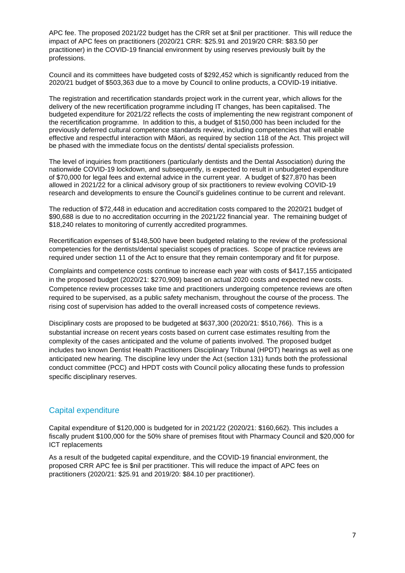APC fee. The proposed 2021/22 budget has the CRR set at \$nil per practitioner. This will reduce the impact of APC fees on practitioners (2020/21 CRR: \$25.91 and 2019/20 CRR: \$83.50 per practitioner) in the COVID-19 financial environment by using reserves previously built by the professions.

Council and its committees have budgeted costs of \$292,452 which is significantly reduced from the 2020/21 budget of \$503,363 due to a move by Council to online products, a COVID-19 initiative.

The registration and recertification standards project work in the current year, which allows for the delivery of the new recertification programme including IT changes, has been capitalised. The budgeted expenditure for 2021/22 reflects the costs of implementing the new registrant component of the recertification programme. In addition to this, a budget of \$150,000 has been included for the previously deferred cultural competence standards review, including competencies that will enable effective and respectful interaction with Māori, as required by section 118 of the Act. This project will be phased with the immediate focus on the dentists/ dental specialists profession.

The level of inquiries from practitioners (particularly dentists and the Dental Association) during the nationwide COVID-19 lockdown, and subsequently, is expected to result in unbudgeted expenditure of \$70,000 for legal fees and external advice in the current year. A budget of \$27,870 has been allowed in 2021/22 for a clinical advisory group of six practitioners to review evolving COVID-19 research and developments to ensure the Council's guidelines continue to be current and relevant.

The reduction of \$72,448 in education and accreditation costs compared to the 2020/21 budget of \$90,688 is due to no accreditation occurring in the 2021/22 financial year. The remaining budget of \$18,240 relates to monitoring of currently accredited programmes.

Recertification expenses of \$148,500 have been budgeted relating to the review of the professional competencies for the dentists/dental specialist scopes of practices. Scope of practice reviews are required under section 11 of the Act to ensure that they remain contemporary and fit for purpose.

Complaints and competence costs continue to increase each year with costs of \$417,155 anticipated in the proposed budget (2020/21: \$270,909) based on actual 2020 costs and expected new costs. Competence review processes take time and practitioners undergoing competence reviews are often required to be supervised, as a public safety mechanism, throughout the course of the process. The rising cost of supervision has added to the overall increased costs of competence reviews.

Disciplinary costs are proposed to be budgeted at \$637,300 (2020/21: \$510,766). This is a substantial increase on recent years costs based on current case estimates resulting from the complexity of the cases anticipated and the volume of patients involved. The proposed budget includes two known Dentist Health Practitioners Disciplinary Tribunal (HPDT) hearings as well as one anticipated new hearing. The discipline levy under the Act (section 131) funds both the professional conduct committee (PCC) and HPDT costs with Council policy allocating these funds to profession specific disciplinary reserves.

### Capital expenditure

Capital expenditure of \$120,000 is budgeted for in 2021/22 (2020/21: \$160,662). This includes a fiscally prudent \$100,000 for the 50% share of premises fitout with Pharmacy Council and \$20,000 for ICT replacements

As a result of the budgeted capital expenditure, and the COVID-19 financial environment, the proposed CRR APC fee is \$nil per practitioner. This will reduce the impact of APC fees on practitioners (2020/21: \$25.91 and 2019/20: \$84.10 per practitioner).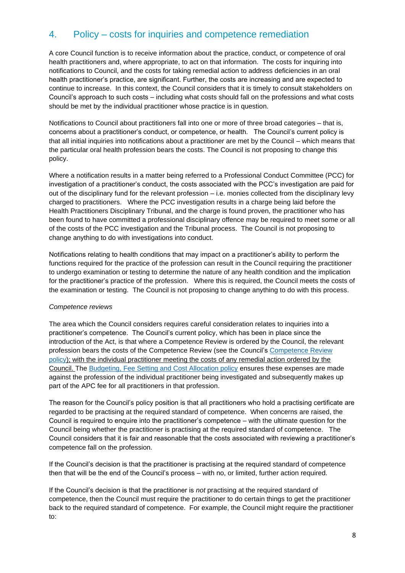# 4. Policy – costs for inquiries and competence remediation

A core Council function is to receive information about the practice, conduct, or competence of oral health practitioners and, where appropriate, to act on that information. The costs for inquiring into notifications to Council, and the costs for taking remedial action to address deficiencies in an oral health practitioner's practice, are significant. Further, the costs are increasing and are expected to continue to increase. In this context, the Council considers that it is timely to consult stakeholders on Council's approach to such costs – including what costs should fall on the professions and what costs should be met by the individual practitioner whose practice is in question.

Notifications to Council about practitioners fall into one or more of three broad categories – that is, concerns about a practitioner's conduct, or competence, or health. The Council's current policy is that all initial inquiries into notifications about a practitioner are met by the Council – which means that the particular oral health profession bears the costs. The Council is not proposing to change this policy.

Where a notification results in a matter being referred to a Professional Conduct Committee (PCC) for investigation of a practitioner's conduct, the costs associated with the PCC's investigation are paid for out of the disciplinary fund for the relevant profession – i.e. monies collected from the disciplinary levy charged to practitioners. Where the PCC investigation results in a charge being laid before the Health Practitioners Disciplinary Tribunal, and the charge is found proven, the practitioner who has been found to have committed a professional disciplinary offence may be required to meet some or all of the costs of the PCC investigation and the Tribunal process. The Council is not proposing to change anything to do with investigations into conduct.

Notifications relating to health conditions that may impact on a practitioner's ability to perform the functions required for the practice of the profession can result in the Council requiring the practitioner to undergo examination or testing to determine the nature of any health condition and the implication for the practitioner's practice of the profession. Where this is required, the Council meets the costs of the examination or testing. The Council is not proposing to change anything to do with this process.

### *Competence reviews*

The area which the Council considers requires careful consideration relates to inquiries into a practitioner's competence. The Council's current policy, which has been in place since the introduction of the Act, is that where a Competence Review is ordered by the Council, the relevant profession bears the costs of the Competence Review (see the Council's [Competence Review](https://www.dcnz.org.nz/assets/Uploads/Policies/Competence-review-policy.pdf)  [policy\)](https://www.dcnz.org.nz/assets/Uploads/Policies/Competence-review-policy.pdf); with the individual practitioner meeting the costs of any remedial action ordered by the Council. The [Budgeting, Fee Setting and Cost Allocation policy](https://www.dcnz.org.nz/assets/Uploads/Policies/Budgeting-Fee-Setting-and-Cost-Allocation-Policy.pdf) ensures these expenses are made against the profession of the individual practitioner being investigated and subsequently makes up part of the APC fee for all practitioners in that profession.

The reason for the Council's policy position is that all practitioners who hold a practising certificate are regarded to be practising at the required standard of competence. When concerns are raised, the Council is required to enquire into the practitioner's competence – with the ultimate question for the Council being whether the practitioner is practising at the required standard of competence. The Council considers that it is fair and reasonable that the costs associated with reviewing a practitioner's competence fall on the profession.

If the Council's decision is that the practitioner is practising at the required standard of competence then that will be the end of the Council's process – with no, or limited, further action required.

If the Council's decision is that the practitioner is *not* practising at the required standard of competence, then the Council must require the practitioner to do certain things to get the practitioner back to the required standard of competence. For example, the Council might require the practitioner to: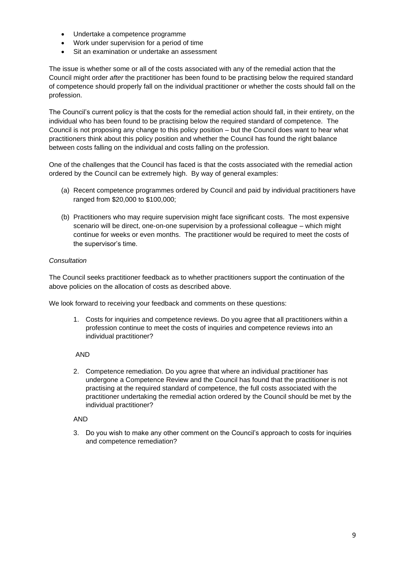- Undertake a competence programme
- Work under supervision for a period of time
- Sit an examination or undertake an assessment

The issue is whether some or all of the costs associated with any of the remedial action that the Council might order *after* the practitioner has been found to be practising below the required standard of competence should properly fall on the individual practitioner or whether the costs should fall on the profession.

The Council's current policy is that the costs for the remedial action should fall, in their entirety, on the individual who has been found to be practising below the required standard of competence. The Council is not proposing any change to this policy position – but the Council does want to hear what practitioners think about this policy position and whether the Council has found the right balance between costs falling on the individual and costs falling on the profession.

One of the challenges that the Council has faced is that the costs associated with the remedial action ordered by the Council can be extremely high. By way of general examples:

- (a) Recent competence programmes ordered by Council and paid by individual practitioners have ranged from \$20,000 to \$100,000;
- (b) Practitioners who may require supervision might face significant costs. The most expensive scenario will be direct, one-on-one supervision by a professional colleague – which might continue for weeks or even months. The practitioner would be required to meet the costs of the supervisor's time.

### *Consultation*

The Council seeks practitioner feedback as to whether practitioners support the continuation of the above policies on the allocation of costs as described above.

We look forward to receiving your feedback and comments on these questions:

1. Costs for inquiries and competence reviews. Do you agree that all practitioners within a profession continue to meet the costs of inquiries and competence reviews into an individual practitioner?

### AND

2. Competence remediation. Do you agree that where an individual practitioner has undergone a Competence Review and the Council has found that the practitioner is not practising at the required standard of competence, the full costs associated with the practitioner undertaking the remedial action ordered by the Council should be met by the individual practitioner?

### AND

3. Do you wish to make any other comment on the Council's approach to costs for inquiries and competence remediation?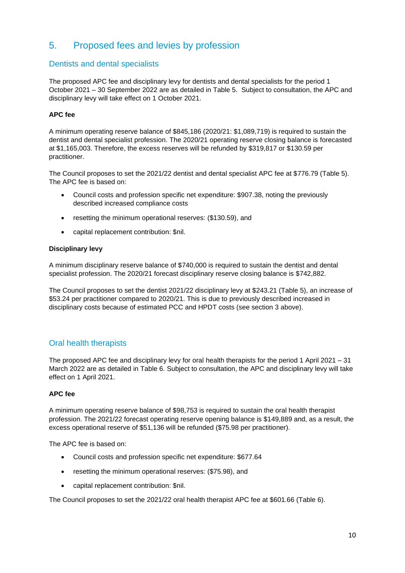# 5. Proposed fees and levies by profession

### Dentists and dental specialists

The proposed APC fee and disciplinary levy for dentists and dental specialists for the period 1 October 2021 – 30 September 2022 are as detailed in Table 5. Subject to consultation, the APC and disciplinary levy will take effect on 1 October 2021.

### **APC fee**

A minimum operating reserve balance of \$845,186 (2020/21: \$1,089,719) is required to sustain the dentist and dental specialist profession. The 2020/21 operating reserve closing balance is forecasted at \$1,165,003. Therefore, the excess reserves will be refunded by \$319,817 or \$130.59 per practitioner.

The Council proposes to set the 2021/22 dentist and dental specialist APC fee at \$776.79 (Table 5). The APC fee is based on:

- Council costs and profession specific net expenditure: \$907.38, noting the previously described increased compliance costs
- resetting the minimum operational reserves: (\$130.59), and
- capital replacement contribution: \$nil.

### **Disciplinary levy**

A minimum disciplinary reserve balance of \$740,000 is required to sustain the dentist and dental specialist profession. The 2020/21 forecast disciplinary reserve closing balance is \$742,882.

The Council proposes to set the dentist 2021/22 disciplinary levy at \$243.21 (Table 5), an increase of \$53.24 per practitioner compared to 2020/21. This is due to previously described increased in disciplinary costs because of estimated PCC and HPDT costs (see section 3 above).

# Oral health therapists

The proposed APC fee and disciplinary levy for oral health therapists for the period 1 April 2021 – 31 March 2022 are as detailed in Table 6. Subject to consultation, the APC and disciplinary levy will take effect on 1 April 2021.

### **APC fee**

A minimum operating reserve balance of \$98,753 is required to sustain the oral health therapist profession. The 2021/22 forecast operating reserve opening balance is \$149,889 and, as a result, the excess operational reserve of \$51,136 will be refunded (\$75.98 per practitioner).

The APC fee is based on:

- Council costs and profession specific net expenditure: \$677.64
- resetting the minimum operational reserves: (\$75.98), and
- capital replacement contribution: \$nil.

The Council proposes to set the 2021/22 oral health therapist APC fee at \$601.66 (Table 6).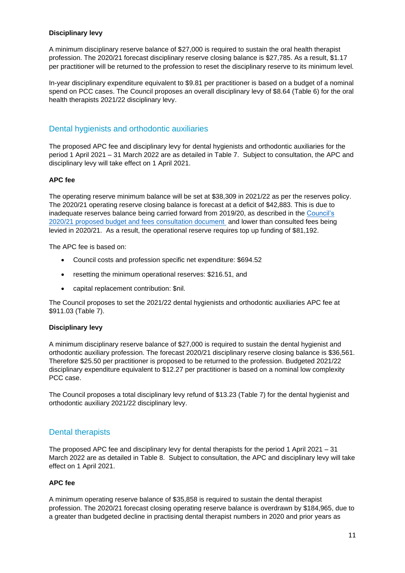### **Disciplinary levy**

A minimum disciplinary reserve balance of \$27,000 is required to sustain the oral health therapist profession. The 2020/21 forecast disciplinary reserve closing balance is \$27,785. As a result, \$1.17 per practitioner will be returned to the profession to reset the disciplinary reserve to its minimum level*.*

In-year disciplinary expenditure equivalent to \$9.81 per practitioner is based on a budget of a nominal spend on PCC cases. The Council proposes an overall disciplinary levy of \$8.64 (Table 6) for the oral health therapists 2021/22 disciplinary levy.

### Dental hygienists and orthodontic auxiliaries

The proposed APC fee and disciplinary levy for dental hygienists and orthodontic auxiliaries for the period 1 April 2021 – 31 March 2022 are as detailed in Table 7. Subject to consultation, the APC and disciplinary levy will take effect on 1 April 2021.

#### **APC fee**

The operating reserve minimum balance will be set at \$38,309 in 2021/22 as per the reserves policy. The 2020/21 operating reserve closing balance is forecast at a deficit of \$42,883. This is due to inadequate reserves balance being carried forward from 2019/20, as described in the [Council's](https://www.dcnz.org.nz/assets/Uploads/Consultations/2019/Consultation-proposed-2020-21-budget-fees-and-levies/2020-21-proposed-budget-and-fees-consultation-document.pdf)  2020/21 [proposed budget and fees consultation document](https://www.dcnz.org.nz/assets/Uploads/Consultations/2019/Consultation-proposed-2020-21-budget-fees-and-levies/2020-21-proposed-budget-and-fees-consultation-document.pdf) and lower than consulted fees being levied in 2020/21. As a result, the operational reserve requires top up funding of \$81,192.

The APC fee is based on:

- Council costs and profession specific net expenditure: \$694.52
- resetting the minimum operational reserves: \$216.51, and
- capital replacement contribution: \$nil.

The Council proposes to set the 2021/22 dental hygienists and orthodontic auxiliaries APC fee at \$911.03 (Table 7).

#### **Disciplinary levy**

A minimum disciplinary reserve balance of \$27,000 is required to sustain the dental hygienist and orthodontic auxiliary profession. The forecast 2020/21 disciplinary reserve closing balance is \$36,561. Therefore \$25.50 per practitioner is proposed to be returned to the profession. Budgeted 2021/22 disciplinary expenditure equivalent to \$12.27 per practitioner is based on a nominal low complexity PCC case.

The Council proposes a total disciplinary levy refund of \$13.23 (Table 7) for the dental hygienist and orthodontic auxiliary 2021/22 disciplinary levy.

### Dental therapists

The proposed APC fee and disciplinary levy for dental therapists for the period 1 April 2021 – 31 March 2022 are as detailed in Table 8. Subject to consultation, the APC and disciplinary levy will take effect on 1 April 2021.

#### **APC fee**

A minimum operating reserve balance of \$35,858 is required to sustain the dental therapist profession. The 2020/21 forecast closing operating reserve balance is overdrawn by \$184,965, due to a greater than budgeted decline in practising dental therapist numbers in 2020 and prior years as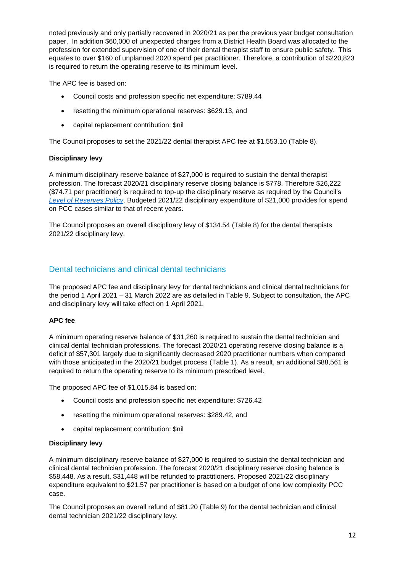noted previously and only partially recovered in 2020/21 as per the previous year budget consultation paper. In addition \$60,000 of unexpected charges from a District Health Board was allocated to the profession for extended supervision of one of their dental therapist staff to ensure public safety. This equates to over \$160 of unplanned 2020 spend per practitioner. Therefore, a contribution of \$220,823 is required to return the operating reserve to its minimum level.

The APC fee is based on:

- Council costs and profession specific net expenditure: \$789.44
- resetting the minimum operational reserves: \$629.13, and
- capital replacement contribution: \$nil

The Council proposes to set the 2021/22 dental therapist APC fee at \$1,553.10 (Table 8).

### **Disciplinary levy**

A minimum disciplinary reserve balance of \$27,000 is required to sustain the dental therapist profession. The forecast 2020/21 disciplinary reserve closing balance is \$778. Therefore \$26,222 (\$74.71 per practitioner) is required to top-up the disciplinary reserve as required by the Council's *[Level of Reserves Policy](https://www.dcnz.org.nz/assets/Uploads/Policies/Level-of-Reserves-Policy.pdf)*. Budgeted 2021/22 disciplinary expenditure of \$21,000 provides for spend on PCC cases similar to that of recent years.

The Council proposes an overall disciplinary levy of \$134.54 (Table 8) for the dental therapists 2021/22 disciplinary levy.

# Dental technicians and clinical dental technicians

The proposed APC fee and disciplinary levy for dental technicians and clinical dental technicians for the period 1 April 2021 – 31 March 2022 are as detailed in Table 9. Subject to consultation, the APC and disciplinary levy will take effect on 1 April 2021.

### **APC fee**

A minimum operating reserve balance of \$31,260 is required to sustain the dental technician and clinical dental technician professions. The forecast 2020/21 operating reserve closing balance is a deficit of \$57,301 largely due to significantly decreased 2020 practitioner numbers when compared with those anticipated in the 2020/21 budget process (Table 1). As a result, an additional \$88,561 is required to return the operating reserve to its minimum prescribed level.

The proposed APC fee of \$1,015.84 is based on:

- Council costs and profession specific net expenditure: \$726.42
- resetting the minimum operational reserves: \$289.42, and
- capital replacement contribution: \$nil

### **Disciplinary levy**

A minimum disciplinary reserve balance of \$27,000 is required to sustain the dental technician and clinical dental technician profession. The forecast 2020/21 disciplinary reserve closing balance is \$58,448. As a result, \$31,448 will be refunded to practitioners*.* Proposed 2021/22 disciplinary expenditure equivalent to \$21.57 per practitioner is based on a budget of one low complexity PCC case.

The Council proposes an overall refund of \$81.20 (Table 9) for the dental technician and clinical dental technician 2021/22 disciplinary levy.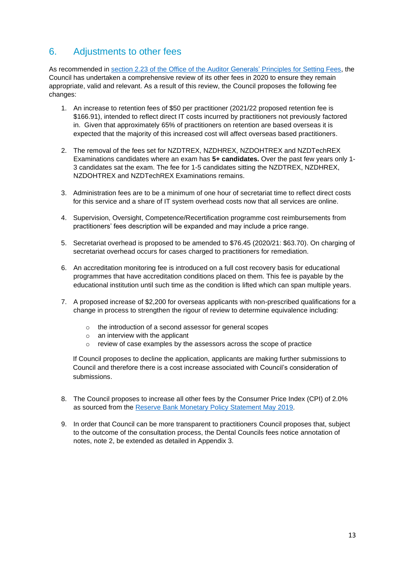# 6. Adjustments to other fees

As recommended in [section 2.23 of the Office of the Auditor Generals' Principles for Setting Fees,](https://oag.parliament.nz/2008/charging-fees/part2.htm) the Council has undertaken a comprehensive review of its other fees in 2020 to ensure they remain appropriate, valid and relevant. As a result of this review, the Council proposes the following fee changes:

- 1. An increase to retention fees of \$50 per practitioner (2021/22 proposed retention fee is \$166.91), intended to reflect direct IT costs incurred by practitioners not previously factored in. Given that approximately 65% of practitioners on retention are based overseas it is expected that the majority of this increased cost will affect overseas based practitioners.
- 2. The removal of the fees set for NZDTREX, NZDHREX, NZDOHTREX and NZDTechREX Examinations candidates where an exam has **5+ candidates.** Over the past few years only 1- 3 candidates sat the exam. The fee for 1-5 candidates sitting the NZDTREX, NZDHREX, NZDOHTREX and NZDTechREX Examinations remains.
- 3. Administration fees are to be a minimum of one hour of secretariat time to reflect direct costs for this service and a share of IT system overhead costs now that all services are online.
- 4. Supervision, Oversight, Competence/Recertification programme cost reimbursements from practitioners' fees description will be expanded and may include a price range.
- 5. Secretariat overhead is proposed to be amended to \$76.45 (2020/21: \$63.70). On charging of secretariat overhead occurs for cases charged to practitioners for remediation.
- 6. An accreditation monitoring fee is introduced on a full cost recovery basis for educational programmes that have accreditation conditions placed on them. This fee is payable by the educational institution until such time as the condition is lifted which can span multiple years.
- 7. A proposed increase of \$2,200 for overseas applicants with non-prescribed qualifications for a change in process to strengthen the rigour of review to determine equivalence including:
	- o the introduction of a second assessor for general scopes
	- $\circ$  an interview with the applicant
	- o review of case examples by the assessors across the scope of practice

If Council proposes to decline the application, applicants are making further submissions to Council and therefore there is a cost increase associated with Council's consideration of submissions.

- 8. The Council proposes to increase all other fees by the Consumer Price Index (CPI) of 2.0% as sourced from the [Reserve Bank Monetary Policy Statement May 2019.](https://www.rbnz.govt.nz/monetary-policy/monetary-policy-statement/mps-may-2019)
- 9. In order that Council can be more transparent to practitioners Council proposes that, subject to the outcome of the consultation process, the Dental Councils fees notice annotation of notes, note 2, be extended as detailed in Appendix 3.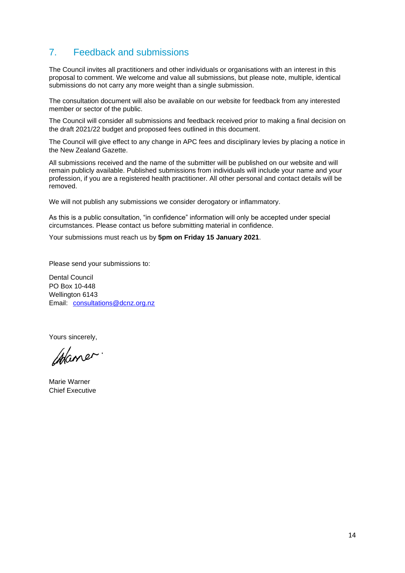# 7. Feedback and submissions

The Council invites all practitioners and other individuals or organisations with an interest in this proposal to comment. We welcome and value all submissions, but please note, multiple, identical submissions do not carry any more weight than a single submission.

The consultation document will also be available on our website for feedback from any interested member or sector of the public.

The Council will consider all submissions and feedback received prior to making a final decision on the draft 2021/22 budget and proposed fees outlined in this document.

The Council will give effect to any change in APC fees and disciplinary levies by placing a notice in the New Zealand Gazette.

All submissions received and the name of the submitter will be published on our website and will remain publicly available. Published submissions from individuals will include your name and your profession, if you are a registered health practitioner. All other personal and contact details will be removed.

We will not publish any submissions we consider derogatory or inflammatory.

As this is a public consultation, "in confidence" information will only be accepted under special circumstances. Please contact us before submitting material in confidence.

Your submissions must reach us by **5pm on Friday 15 January 2021**.

Please send your submissions to:

Dental Council PO Box 10-448 Wellington 6143 Email: [consultations@dcnz.org.nz](mailto:consultations@dcnz.org.nz)

Yours sincerely,

Waner.

Marie Warner Chief Executive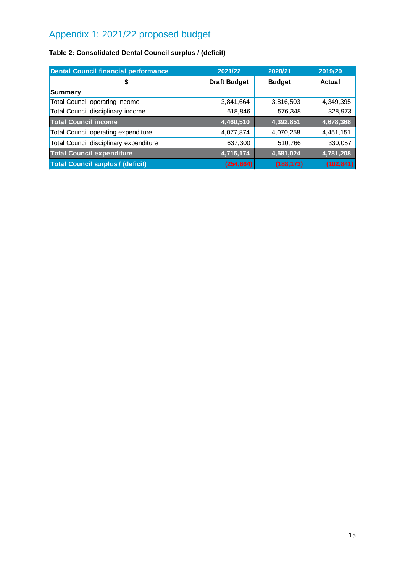# Appendix 1: 2021/22 proposed budget

# **Table 2: Consolidated Dental Council surplus / (deficit)**

| <b>Dental Council financial performance</b> | 2021/22             | 2020/21       | 2019/20       |
|---------------------------------------------|---------------------|---------------|---------------|
| \$                                          | <b>Draft Budget</b> | <b>Budget</b> | <b>Actual</b> |
| <b>Summary</b>                              |                     |               |               |
| Total Council operating income              | 3,841,664           | 3,816,503     | 4,349,395     |
| Total Council disciplinary income           | 618,846             | 576,348       | 328,973       |
| <b>Total Council income</b>                 | 4,460,510           | 4,392,851     | 4,678,368     |
| Total Council operating expenditure         | 4,077,874           | 4,070,258     | 4,451,151     |
| Total Council disciplinary expenditure      | 637,300             | 510,766       | 330,057       |
| <b>Total Council expenditure</b>            | 4,715,174           | 4,581,024     | 4,781,208     |
| <b>Total Council surplus / (deficit)</b>    | (254, 664)          | (188, 173)    | (102, 841)    |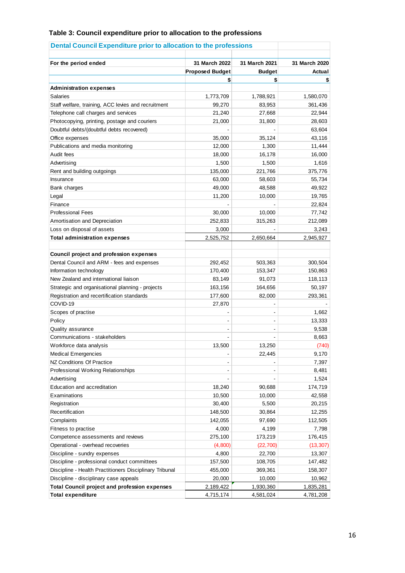### **Table 3: Council expenditure prior to allocation to the professions**

| For the period ended                                    | 31 March 2022          | 31 March 2021 | 31 March 2020 |
|---------------------------------------------------------|------------------------|---------------|---------------|
|                                                         | <b>Proposed Budget</b> | <b>Budget</b> | Actual        |
|                                                         |                        | \$            | \$            |
| <b>Administration expenses</b>                          |                        |               |               |
| Salaries                                                | 1,773,709              | 1,788,921     | 1,580,070     |
| Staff welfare, training, ACC levies and recruitment     | 99,270                 | 83,953        | 361,436       |
| Telephone call charges and services                     | 21,240                 | 27,668        | 22,944        |
| Photocopying, printing, postage and couriers            | 21,000                 | 31,800        | 28,603        |
| Doubtful debts/(doubtful debts recovered)               |                        |               | 63,604        |
| Office expenses                                         | 35,000                 | 35,124        | 43,116        |
| Publications and media monitoring                       | 12,000                 | 1,300         | 11,444        |
| Audit fees                                              | 18,000                 | 16,178        | 16,000        |
|                                                         |                        |               |               |
| Advertising                                             | 1,500                  | 1,500         | 1,616         |
| Rent and building outgoings                             | 135,000                | 221,766       | 375,776       |
| Insurance                                               | 63,000                 | 58,603        | 55,734        |
| Bank charges                                            | 49,000                 | 48,588        | 49,922        |
| Legal                                                   | 11,200                 | 10,000        | 19,765        |
| Finance                                                 |                        |               | 22,824        |
| <b>Professional Fees</b>                                | 30,000                 | 10,000        | 77,742        |
| Amortisation and Depreciation                           | 252,833                | 315,263       | 212,089       |
| Loss on disposal of assets                              | 3,000                  |               | 3,243         |
| <b>Total administration expenses</b>                    | 2,525,752              | 2,650,664     | 2,945,927     |
| Council project and profession expenses                 |                        |               |               |
| Dental Council and ARM - fees and expenses              | 292,452                | 503,363       | 300,504       |
| Information technology                                  | 170,400                | 153,347       | 150,863       |
| New Zealand and international liaison                   | 83,149                 | 91,073        | 118,113       |
| Strategic and organisational planning - projects        | 163,156                | 164,656       | 50,197        |
| Registration and recertification standards              | 177,600                | 82,000        | 293,361       |
| COVID-19                                                | 27,870                 |               |               |
| Scopes of practise                                      |                        |               | 1,662         |
| Policy                                                  |                        |               | 13,333        |
| Quality assurance                                       |                        |               | 9,538         |
| Communications - stakeholders                           |                        |               | 8,663         |
| Workforce data analysis                                 | 13,500                 | 13,250        | (740)         |
| <b>Medical Emergencies</b>                              |                        | 22,445        | 9,170         |
| NZ Conditions Of Practice                               |                        |               | 7,397         |
| Professional Working Relationships                      |                        |               | 8,481         |
| Advertising                                             |                        |               | 1,524         |
| Education and accreditation                             | 18,240                 | 90,688        | 174,719       |
| Examinations                                            | 10,500                 | 10,000        | 42,558        |
| Registration                                            | 30,400                 | 5,500         | 20,215        |
| Recertification                                         | 148,500                | 30,864        | 12,255        |
| Complaints                                              | 142,055                | 97,690        | 112,505       |
| Fitness to practise                                     | 4,000                  | 4,199         | 7,798         |
| Competence assessments and reviews                      | 275,100                | 173,219       | 176,415       |
| Operational - overhead recoveries                       | (4,800)                | (22, 700)     | (13, 307)     |
| Discipline - sundry expenses                            | 4,800                  | 22,700        | 13,307        |
| Discipline - professional conduct committees            | 157,500                | 108,705       | 147,482       |
| Discipline - Health Practitioners Disciplinary Tribunal | 455,000                | 369,361       | 158,307       |
| Discipline - disciplinary case appeals                  | 20,000                 | 10,000        | 10,962        |
| <b>Total Council project and profession expenses</b>    | 2,189,422              | 1,930,360     | 1,835,281     |
| <b>Total expenditure</b>                                | 4,715,174              | 4,581,024     | 4,781,208     |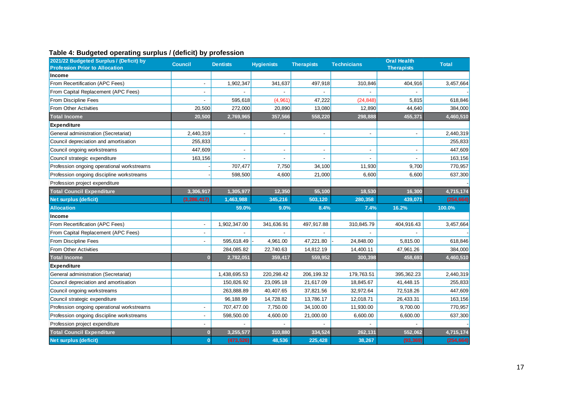### **Table 4: Budgeted operating surplus / (deficit) by profession**

| 2021/22 Budgeted Surplus / (Deficit) by<br><b>Profession Prior to Allocation</b> | <b>Council</b> | <b>Dentists</b> | <b>Hygienists</b> | <b>Therapists</b> | <b>Technicians</b> | <b>Oral Health</b><br><b>Therapists</b> | <b>Total</b> |
|----------------------------------------------------------------------------------|----------------|-----------------|-------------------|-------------------|--------------------|-----------------------------------------|--------------|
| Income                                                                           |                |                 |                   |                   |                    |                                         |              |
| From Recertification (APC Fees)                                                  |                | 1,902,347       | 341,637           | 497,918           | 310,846            | 404,916                                 | 3,457,664    |
| From Capital Replacement (APC Fees)                                              |                |                 |                   |                   |                    |                                         |              |
| From Discipline Fees                                                             |                | 595,618         | (4,961)           | 47,222            | (24, 848)          | 5,815                                   | 618,846      |
| <b>From Other Activities</b>                                                     | 20,500         | 272,000         | 20,890            | 13,080            | 12,890             | 44,640                                  | 384,000      |
| <b>Total Income</b>                                                              | 20,500         | 2,769,965       | 357,566           | 558,220           | 298,888            | 455,371                                 | 4,460,510    |
| <b>Expenditure</b>                                                               |                |                 |                   |                   |                    |                                         |              |
| General administration (Secretariat)                                             | 2,440,319      |                 |                   |                   |                    |                                         | 2,440,319    |
| Council depreciation and amortisation                                            | 255,833        |                 |                   |                   |                    |                                         | 255,833      |
| Council ongoing workstreams                                                      | 447,609        |                 |                   |                   |                    |                                         | 447,609      |
| Council strategic expenditure                                                    | 163,156        |                 |                   |                   |                    |                                         | 163,156      |
| Profession ongoing operational workstreams                                       |                | 707,477         | 7,750             | 34,100            | 11,930             | 9,700                                   | 770,957      |
| Profession ongoing discipline workstreams                                        |                | 598,500         | 4,600             | 21,000            | 6,600              | 6,600                                   | 637,300      |
| Profession project expenditure                                                   |                |                 |                   |                   |                    |                                         |              |
| <b>Total Council Expenditure</b>                                                 | 3,306,917      | 1,305,977       | 12,350            | 55,100            | 18,530             | 16,300                                  | 4,715,174    |
| Net surplus (deficit)                                                            | (3, 286, 417)  | 1,463,988       | 345,216           | 503,120           | 280,358            | 439,071                                 | (254, 664)   |
| <b>Allocation</b>                                                                |                | 59.0%           | 9.0%              | 8.4%              | 7.4%               | 16.2%                                   | 100.0%       |
| Income                                                                           |                |                 |                   |                   |                    |                                         |              |
| From Recertification (APC Fees)                                                  |                | 1,902,347.00    | 341,636.91        | 497,917.88        | 310,845.79         | 404,916.43                              | 3,457,664    |
| From Capital Replacement (APC Fees)                                              |                |                 |                   |                   |                    |                                         |              |
| <b>From Discipline Fees</b>                                                      |                | 595,618.49      | 4,961.00          | 47,221.80         | 24,848.00          | 5,815.00                                | 618,846      |
| <b>From Other Activities</b>                                                     |                | 284,085.82      | 22,740.63         | 14,812.19         | 14,400.11          | 47,961.26                               | 384,000      |
| <b>Total Income</b>                                                              | $\bf{0}$       | 2,782,051       | 359,417           | 559,952           | 300,398            | 458,693                                 | 4,460,510    |
| <b>Expenditure</b>                                                               |                |                 |                   |                   |                    |                                         |              |
| General administration (Secretariat)                                             |                | 1,438,695.53    | 220,298.42        | 206, 199.32       | 179,763.51         | 395,362.23                              | 2,440,319    |
| Council depreciation and amortisation                                            |                | 150,826.92      | 23,095.18         | 21,617.09         | 18,845.67          | 41,448.15                               | 255,833      |
| Council ongoing workstreams                                                      |                | 263,888.89      | 40,407.65         | 37,821.56         | 32,972.64          | 72,518.26                               | 447,609      |
| Council strategic expenditure                                                    |                | 96,188.99       | 14,728.82         | 13,786.17         | 12,018.71          | 26,433.31                               | 163,156      |
| Profession ongoing operational workstreams                                       |                | 707,477.00      | 7,750.00          | 34,100.00         | 11,930.00          | 9,700.00                                | 770,957      |
| Profession ongoing discipline workstreams                                        |                | 598,500.00      | 4,600.00          | 21,000.00         | 6,600.00           | 6,600.00                                | 637,300      |
| Profession project expenditure                                                   |                |                 |                   |                   |                    |                                         |              |
| <b>Total Council Expenditure</b>                                                 | $\bf{0}$       | 3,255,577       | 310,880           | 334,524           | 262,131            | 552,062                                 | 4,715,174    |
| <b>Net surplus (deficit)</b>                                                     | $\mathbf{0}$   | (473, 526)      | 48,536            | 225,428           | 38,267             | (93, 369)                               | (254, 664)   |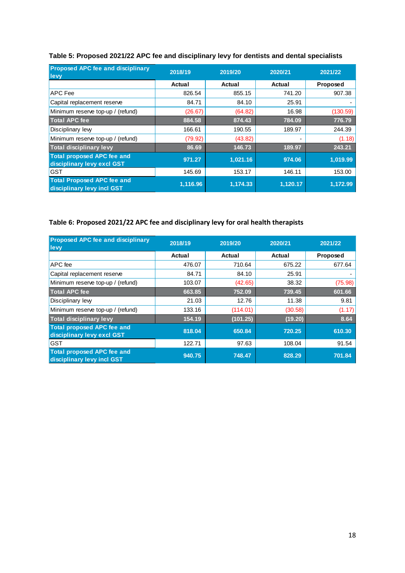| <b>Proposed APC fee and disciplinary</b><br>levy                | 2018/19  | 2019/20  | 2020/21  | 2021/22  |
|-----------------------------------------------------------------|----------|----------|----------|----------|
|                                                                 | Actual   | Actual   | Actual   | Proposed |
| <b>APC</b> Fee                                                  | 826.54   | 855.15   | 741.20   | 907.38   |
| Capital replacement reserve                                     | 84.71    | 84.10    | 25.91    |          |
| Minimum reserve top-up / (refund)                               | (26.67)  | (64.82)  | 16.98    | (130.59) |
| <b>Total APC fee</b>                                            | 884.58   | 874.43   | 784.09   | 776.79   |
| Disciplinary lew                                                | 166.61   | 190.55   | 189.97   | 244.39   |
| Minimum reserve top-up / (refund)                               | (79.92)  | (43.82)  |          | (1.18)   |
| <b>Total disciplinary levy</b>                                  | 86.69    | 146.73   | 189.97   | 243.21   |
| <b>Total proposed APC fee and</b><br>disciplinary levy excl GST | 971.27   | 1,021.16 | 974.06   | 1.019.99 |
| <b>GST</b>                                                      | 145.69   | 153.17   | 146.11   | 153.00   |
| <b>Total Proposed APC fee and</b><br>disciplinary levy incl GST | 1,116.96 | 1,174.33 | 1,120.17 | 1,172.99 |

# **Table 5: Proposed 2021/22 APC fee and disciplinary levy for dentists and dental specialists**

# **Table 6: Proposed 2021/22 APC fee and disciplinary levy for oral health therapists**

| <b>Proposed APC fee and disciplinary</b><br>levy                | 2018/19 | 2019/20  | 2020/21 | 2021/22  |
|-----------------------------------------------------------------|---------|----------|---------|----------|
|                                                                 | Actual  | Actual   | Actual  | Proposed |
| APC fee                                                         | 476.07  | 710.64   | 675.22  | 677.64   |
| Capital replacement reserve                                     | 84.71   | 84.10    | 25.91   |          |
| Minimum reserve top-up / (refund)                               | 103.07  | (42.65)  | 38.32   | (75.98)  |
| <b>Total APC fee</b>                                            | 663.85  | 752.09   | 739.45  | 601.66   |
| Disciplinary lew                                                | 21.03   | 12.76    | 11.38   | 9.81     |
| Minimum reserve top-up / (refund)                               | 133.16  | (114.01) | (30.58) | (1.17)   |
| <b>Total disciplinary levy</b>                                  | 154.19  | (101.25) | (19.20) | 8.64     |
| <b>Total proposed APC fee and</b><br>disciplinary levy excl GST | 818.04  | 650.84   | 720.25  | 610.30   |
| <b>GST</b>                                                      | 122.71  | 97.63    | 108.04  | 91.54    |
| <b>Total proposed APC fee and</b><br>disciplinary levy incl GST | 940.75  | 748.47   | 828.29  | 701.84   |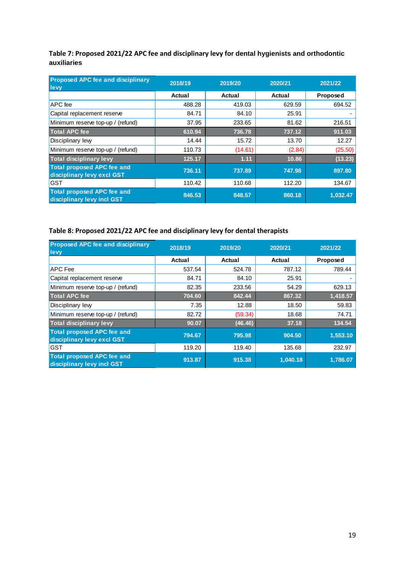**Table 7: Proposed 2021/22 APC fee and disciplinary levy for dental hygienists and orthodontic auxiliaries**

| <b>Proposed APC fee and disciplinary</b><br>levy                | 2018/19 | 2019/20 | 2020/21 | 2021/22  |
|-----------------------------------------------------------------|---------|---------|---------|----------|
|                                                                 | Actual  | Actual  | Actual  | Proposed |
| APC fee                                                         | 488.28  | 419.03  | 629.59  | 694.52   |
| Capital replacement reserve                                     | 84.71   | 84.10   | 25.91   |          |
| Minimum reserve top-up / (refund)                               | 37.95   | 233.65  | 81.62   | 216.51   |
| <b>Total APC fee</b>                                            | 610.94  | 736.78  | 737.12  | 911.03   |
| Disciplinary lew                                                | 14.44   | 15.72   | 13.70   | 12.27    |
| Minimum reserve top-up / (refund)                               | 110.73  | (14.61) | (2.84)  | (25.50)  |
| <b>Total disciplinary levy</b>                                  | 125.17  | 1.11    | 10.86   | (13.23)  |
| <b>Total proposed APC fee and</b><br>disciplinary levy excl GST | 736.11  | 737.89  | 747.98  | 897.80   |
| <b>GST</b>                                                      | 110.42  | 110.68  | 112.20  | 134.67   |
| <b>Total proposed APC fee and</b><br>disciplinary levy incl GST | 846.53  | 848.57  | 860.18  | 1,032.47 |

# **Table 8: Proposed 2021/22 APC fee and disciplinary levy for dental therapists**

| <b>Proposed APC fee and disciplinary</b><br>levy                | 2018/19 | 2019/20 | 2020/21  | 2021/22  |
|-----------------------------------------------------------------|---------|---------|----------|----------|
|                                                                 | Actual  | Actual  | Actual   | Proposed |
| APC Fee                                                         | 537.54  | 524.78  | 787.12   | 789.44   |
| Capital replacement reserve                                     | 84.71   | 84.10   | 25.91    |          |
| Minimum reserve top-up / (refund)                               | 82.35   | 233.56  | 54.29    | 629.13   |
| <b>Total APC fee</b>                                            | 704.60  | 842.44  | 867.32   | 1,418.57 |
| Disciplinary lew                                                | 7.35    | 12.88   | 18.50    | 59.83    |
| Minimum reserve top-up / (refund)                               | 82.72   | (59.34) | 18.68    | 74.71    |
| <b>Total disciplinary levy</b>                                  | 90.07   | (46.46) | 37.18    | 134.54   |
| <b>Total proposed APC fee and</b><br>disciplinary levy excl GST | 794.67  | 795.98  | 904.50   | 1,553.10 |
| <b>GST</b>                                                      | 119.20  | 119.40  | 135.68   | 232.97   |
| <b>Total proposed APC fee and</b><br>disciplinary levy incl GST | 913.87  | 915.38  | 1,040.18 | 1.786.07 |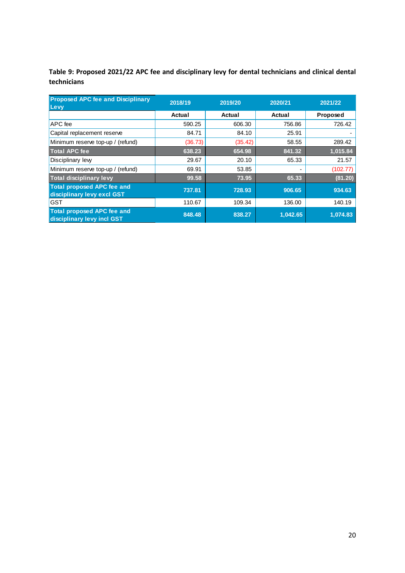**Table 9: Proposed 2021/22 APC fee and disciplinary levy for dental technicians and clinical dental technicians**

| <b>Proposed APC fee and Disciplinary</b><br><b>Levy</b>         | 2018/19 | 2019/20 | 2020/21  | 2021/22  |
|-----------------------------------------------------------------|---------|---------|----------|----------|
|                                                                 | Actual  | Actual  | Actual   | Proposed |
| APC fee                                                         | 590.25  | 606.30  | 756.86   | 726.42   |
| Capital replacement reserve                                     | 84.71   | 84.10   | 25.91    |          |
| Minimum reserve top-up / (refund)                               | (36.73) | (35.42) | 58.55    | 289.42   |
| <b>Total APC fee</b>                                            | 638.23  | 654.98  | 841.32   | 1,015.84 |
| Disciplinary lew                                                | 29.67   | 20.10   | 65.33    | 21.57    |
| Minimum reserve top-up / (refund)                               | 69.91   | 53.85   |          | (102.77) |
| <b>Total disciplinary levy</b>                                  | 99.58   | 73.95   | 65.33    | (81.20)  |
| <b>Total proposed APC fee and</b><br>disciplinary levy excl GST | 737.81  | 728.93  | 906.65   | 934.63   |
| <b>GST</b>                                                      | 110.67  | 109.34  | 136.00   | 140.19   |
| <b>Total proposed APC fee and</b><br>disciplinary levy incl GST | 848.48  | 838.27  | 1,042.65 | 1,074.83 |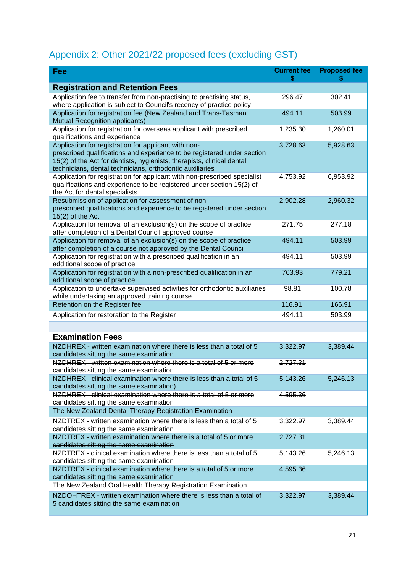# Appendix 2: Other 2021/22 proposed fees (excluding GST)

| Fee                                                                                                                                                                                                                                                                   | <b>Current fee</b><br>\$ | <b>Proposed fee</b> |
|-----------------------------------------------------------------------------------------------------------------------------------------------------------------------------------------------------------------------------------------------------------------------|--------------------------|---------------------|
| <b>Registration and Retention Fees</b>                                                                                                                                                                                                                                |                          |                     |
| Application fee to transfer from non-practising to practising status,<br>where application is subject to Council's recency of practice policy                                                                                                                         | 296.47                   | 302.41              |
| Application for registration fee (New Zealand and Trans-Tasman<br>Mutual Recognition applicants)                                                                                                                                                                      | 494.11                   | 503.99              |
| Application for registration for overseas applicant with prescribed<br>qualifications and experience                                                                                                                                                                  | 1,235.30                 | 1,260.01            |
| Application for registration for applicant with non-<br>prescribed qualifications and experience to be registered under section<br>15(2) of the Act for dentists, hygienists, therapists, clinical dental<br>technicians, dental technicians, orthodontic auxiliaries | 3,728.63                 | 5,928.63            |
| Application for registration for applicant with non-prescribed specialist<br>qualifications and experience to be registered under section 15(2) of<br>the Act for dental specialists                                                                                  | 4,753.92                 | 6,953.92            |
| Resubmission of application for assessment of non-<br>prescribed qualifications and experience to be registered under section<br>$15(2)$ of the Act                                                                                                                   | 2,902.28                 | 2,960.32            |
| Application for removal of an exclusion(s) on the scope of practice<br>after completion of a Dental Council approved course                                                                                                                                           | 271.75                   | 277.18              |
| Application for removal of an exclusion(s) on the scope of practice<br>after completion of a course not approved by the Dental Council                                                                                                                                | 494.11                   | 503.99              |
| Application for registration with a prescribed qualification in an<br>additional scope of practice                                                                                                                                                                    | 494.11                   | 503.99              |
| Application for registration with a non-prescribed qualification in an<br>additional scope of practice                                                                                                                                                                | 763.93                   | 779.21              |
| Application to undertake supervised activities for orthodontic auxiliaries<br>while undertaking an approved training course.                                                                                                                                          | 98.81                    | 100.78              |
| Retention on the Register fee                                                                                                                                                                                                                                         | 116.91                   | 166.91              |
| Application for restoration to the Register                                                                                                                                                                                                                           | 494.11                   | 503.99              |
|                                                                                                                                                                                                                                                                       |                          |                     |
| <b>Examination Fees</b>                                                                                                                                                                                                                                               |                          |                     |
| NZDHREX - written examination where there is less than a total of 5<br>candidates sitting the same examination                                                                                                                                                        | 3,322.97                 | 3,389.44            |
| NZDHREX - written examination where there is a total of 5 or more<br>candidates sitting the same examination                                                                                                                                                          | 2,727.31                 |                     |
| NZDHREX - clinical examination where there is less than a total of 5<br>candidates sitting the same examination)                                                                                                                                                      | 5,143.26                 | 5,246.13            |
| NZDHREX - clinical examination where there is a total of 5 or more                                                                                                                                                                                                    | 4,595.36                 |                     |
| candidates sitting the same examination<br>The New Zealand Dental Therapy Registration Examination                                                                                                                                                                    |                          |                     |
| NZDTREX - written examination where there is less than a total of 5                                                                                                                                                                                                   | 3,322.97                 | 3,389.44            |
| candidates sitting the same examination<br>NZDTREX - written examination where there is a total of 5 or more                                                                                                                                                          | 2,727.31                 |                     |
| candidates sitting the same examination                                                                                                                                                                                                                               |                          |                     |
| NZDTREX - clinical examination where there is less than a total of 5<br>candidates sitting the same examination                                                                                                                                                       | 5,143.26                 | 5,246.13            |
| NZDTREX - clinical examination where there is a total of 5 or more                                                                                                                                                                                                    | 4,595.36                 |                     |
| candidates sitting the same examination<br>The New Zealand Oral Health Therapy Registration Examination                                                                                                                                                               |                          |                     |
| NZDOHTREX - written examination where there is less than a total of                                                                                                                                                                                                   |                          |                     |
| 5 candidates sitting the same examination                                                                                                                                                                                                                             | 3,322.97                 | 3,389.44            |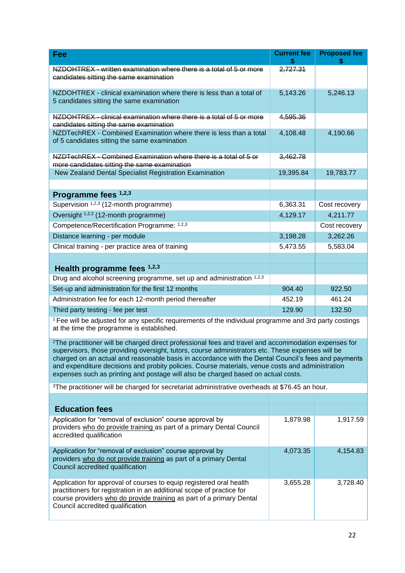| Fee                                                                                                                                                             | <b>Current fee</b> | <b>Proposed fee</b> |  |
|-----------------------------------------------------------------------------------------------------------------------------------------------------------------|--------------------|---------------------|--|
| NZDOHTREX - written examination where there is a total of 5 or more<br>candidates sitting the same examination                                                  | 2,727.31           |                     |  |
| NZDOHTREX - clinical examination where there is less than a total of<br>5 candidates sitting the same examination                                               | 5,143.26           | 5,246.13            |  |
| NZDOHTREX - clinical examination where there is a total of 5 or more<br>candidates sitting the same examination                                                 | 4,595.36           |                     |  |
| NZDTechREX - Combined Examination where there is less than a total<br>of 5 candidates sitting the same examination                                              | 4,108.48           | 4,190.66            |  |
| NZDTechREX - Combined Examination where there is a total of 5 or<br>more candidates sitting the same examination                                                | 3,462.78           |                     |  |
| New Zealand Dental Specialist Registration Examination                                                                                                          | 19,395.84          | 19,783.77           |  |
|                                                                                                                                                                 |                    |                     |  |
| Programme fees 1,2,3                                                                                                                                            |                    |                     |  |
| Supervision 1,2,3 (12-month programme)                                                                                                                          | 6,363.31           | Cost recovery       |  |
| Oversight <sup>1,2,3</sup> (12-month programme)                                                                                                                 | 4,129.17           | 4,211.77            |  |
| Competence/Recertification Programme: 1,2,3                                                                                                                     |                    | Cost recovery       |  |
| Distance learning - per module                                                                                                                                  | 3,198.28           | 3,262.26            |  |
| Clinical training - per practice area of training                                                                                                               | 5,473.55           | 5,583.04            |  |
|                                                                                                                                                                 |                    |                     |  |
| Health programme fees $1,2,3$                                                                                                                                   |                    |                     |  |
| Drug and alcohol screening programme, set up and administration 1,2,3                                                                                           |                    |                     |  |
| Set-up and administration for the first 12 months                                                                                                               | 904.40             | 922.50              |  |
| Administration fee for each 12-month period thereafter                                                                                                          | 452.19             | 461.24              |  |
| Third party testing - fee per test                                                                                                                              | 129.90             | 132.50              |  |
| <sup>1</sup> Fee will be adjusted for any specific requirements of the individual programme and 3rd party costings<br>at the time the programme is established. |                    |                     |  |

<sup>2</sup>The practitioner will be charged direct professional fees and travel and accommodation expenses for supervisors, those providing oversight, tutors, course administrators etc. These expenses will be charged on an actual and reasonable basis in accordance with the Dental Council's fees and payments and expenditure decisions and probity policies. Course materials, venue costs and administration expenses such as printing and postage will also be charged based on actual costs.

<sup>3</sup>The practitioner will be charged for secretariat administrative overheads at \$76.45 an hour.

| <b>Education fees</b>                                                                                                                                                                                                                                    |          |          |
|----------------------------------------------------------------------------------------------------------------------------------------------------------------------------------------------------------------------------------------------------------|----------|----------|
| Application for "removal of exclusion" course approval by<br>providers who do provide training as part of a primary Dental Council<br>accredited qualification                                                                                           | 1,879.98 | 1,917.59 |
| Application for "removal of exclusion" course approval by<br>providers who do not provide training as part of a primary Dental<br>Council accredited qualification                                                                                       | 4,073.35 | 4,154.83 |
| Application for approval of courses to equip registered oral health<br>practitioners for registration in an additional scope of practice for<br>course providers who do provide training as part of a primary Dental<br>Council accredited qualification | 3,655.28 | 3.728.40 |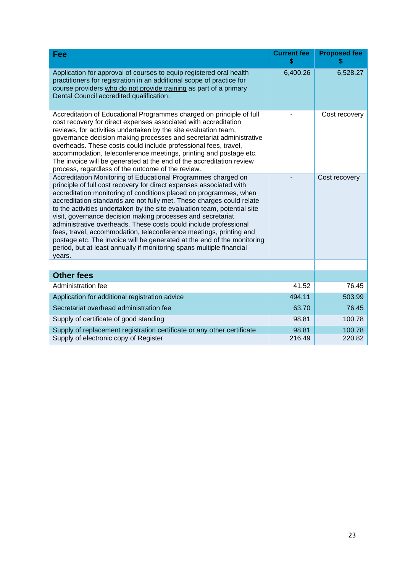| Fee                                                                                                                                                                                                                                                                                                                                                                                                                                                                                                                                                                                                                                                                                                                                  | <b>Current fee</b> | <b>Proposed fee</b> |
|--------------------------------------------------------------------------------------------------------------------------------------------------------------------------------------------------------------------------------------------------------------------------------------------------------------------------------------------------------------------------------------------------------------------------------------------------------------------------------------------------------------------------------------------------------------------------------------------------------------------------------------------------------------------------------------------------------------------------------------|--------------------|---------------------|
| Application for approval of courses to equip registered oral health<br>practitioners for registration in an additional scope of practice for<br>course providers who do not provide training as part of a primary<br>Dental Council accredited qualification.                                                                                                                                                                                                                                                                                                                                                                                                                                                                        | 6,400.26           | 6,528.27            |
| Accreditation of Educational Programmes charged on principle of full<br>cost recovery for direct expenses associated with accreditation<br>reviews, for activities undertaken by the site evaluation team,<br>governance decision making processes and secretariat administrative<br>overheads. These costs could include professional fees, travel,<br>accommodation, teleconference meetings, printing and postage etc.<br>The invoice will be generated at the end of the accreditation review<br>process, regardless of the outcome of the review.                                                                                                                                                                               |                    | Cost recovery       |
| Accreditation Monitoring of Educational Programmes charged on<br>principle of full cost recovery for direct expenses associated with<br>accreditation monitoring of conditions placed on programmes, when<br>accreditation standards are not fully met. These charges could relate<br>to the activities undertaken by the site evaluation team, potential site<br>visit, governance decision making processes and secretariat<br>administrative overheads. These costs could include professional<br>fees, travel, accommodation, teleconference meetings, printing and<br>postage etc. The invoice will be generated at the end of the monitoring<br>period, but at least annually if monitoring spans multiple financial<br>years. |                    | Cost recovery       |
| <b>Other fees</b>                                                                                                                                                                                                                                                                                                                                                                                                                                                                                                                                                                                                                                                                                                                    |                    |                     |
| Administration fee                                                                                                                                                                                                                                                                                                                                                                                                                                                                                                                                                                                                                                                                                                                   | 41.52              | 76.45               |
| Application for additional registration advice                                                                                                                                                                                                                                                                                                                                                                                                                                                                                                                                                                                                                                                                                       | 494.11             | 503.99              |
| Secretariat overhead administration fee                                                                                                                                                                                                                                                                                                                                                                                                                                                                                                                                                                                                                                                                                              | 63.70              | 76.45               |
| Supply of certificate of good standing                                                                                                                                                                                                                                                                                                                                                                                                                                                                                                                                                                                                                                                                                               | 98.81              | 100.78              |
| Supply of replacement registration certificate or any other certificate                                                                                                                                                                                                                                                                                                                                                                                                                                                                                                                                                                                                                                                              | 98.81              | 100.78              |
| Supply of electronic copy of Register                                                                                                                                                                                                                                                                                                                                                                                                                                                                                                                                                                                                                                                                                                | 216.49             | 220.82              |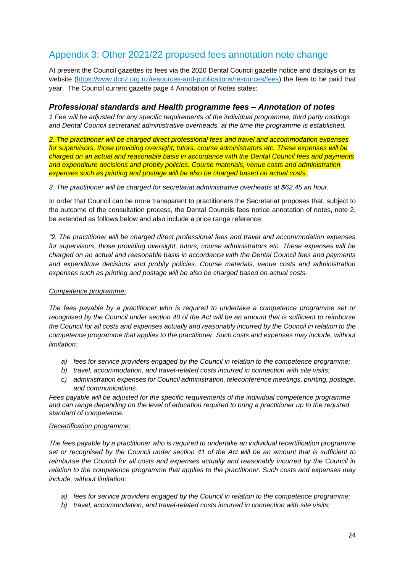# Appendix 3: Other 2021/22 proposed fees annotation note change

At present the Council gazettes its fees via the 2020 Dental Council gazette notice and displays on its website [\(https://www.dcnz.org.nz/resources-and-publications/resources/fees\)](https://www.dcnz.org.nz/resources-and-publications/resources/fees) the fees to be paid that year. The Council current gazette page 4 Annotation of Notes states:

### *Professional standards and Health programme fees – Annotation of notes*

*1 Fee will be adjusted for any specific requirements of the individual programme, third party costings and Dental Council secretariat administrative overheads, at the time the programme is established.*

*2. The practitioner will be charged direct professional fees and travel and accommodation expenses for supervisors, those providing oversight, tutors, course administrators etc. These expenses will be charged on an actual and reasonable basis in accordance with the Dental Council fees and payments and expenditure decisions and probity policies. Course materials, venue costs and administration expenses such as printing and postage will be also be charged based on actual costs.*

*3. The practitioner will be charged for secretariat administrative overheads at \$62.45 an hour.*

In order that Council can be more transparent to practitioners the Secretariat proposes that, subject to the outcome of the consultation process, the Dental Councils fees notice annotation of notes, note 2, be extended as follows below and also include a price range reference:

*"2. The practitioner will be charged direct professional fees and travel and accommodation expenses for supervisors, those providing oversight, tutors, course administrators etc. These expenses will be charged on an actual and reasonable basis in accordance with the Dental Council fees and payments and expenditure decisions and probity policies. Course materials, venue costs and administration expenses such as printing and postage will be also be charged based on actual costs.*

### *Competence programme:*

*The fees payable by a practitioner who is required to undertake a competence programme set or recognised by the Council under section 40 of the Act will be an amount that is sufficient to reimburse the Council for all costs and expenses actually and reasonably incurred by the Council in relation to the competence programme that applies to the practitioner. Such costs and expenses may include, without limitation:*

- *a) fees for service providers engaged by the Council in relation to the competence programme;*
- *b) travel, accommodation, and travel-related costs incurred in connection with site visits;*
- *c) administration expenses for Council administration, teleconference meetings, printing, postage, and communications.*

*Fees payable will be adjusted for the specific requirements of the individual competence programme and can range depending on the level of education required to bring a practitioner up to the required standard of competence.*

#### *Recertification programme:*

*The fees payable by a practitioner who is required to undertake an individual recertification programme set or recognised by the Council under section 41 of the Act will be an amount that is sufficient to reimburse the Council for all costs and expenses actually and reasonably incurred by the Council in relation to the competence programme that applies to the practitioner. Such costs and expenses may include, without limitation:*

- *a) fees for service providers engaged by the Council in relation to the competence programme;*
- *b) travel, accommodation, and travel-related costs incurred in connection with site visits;*